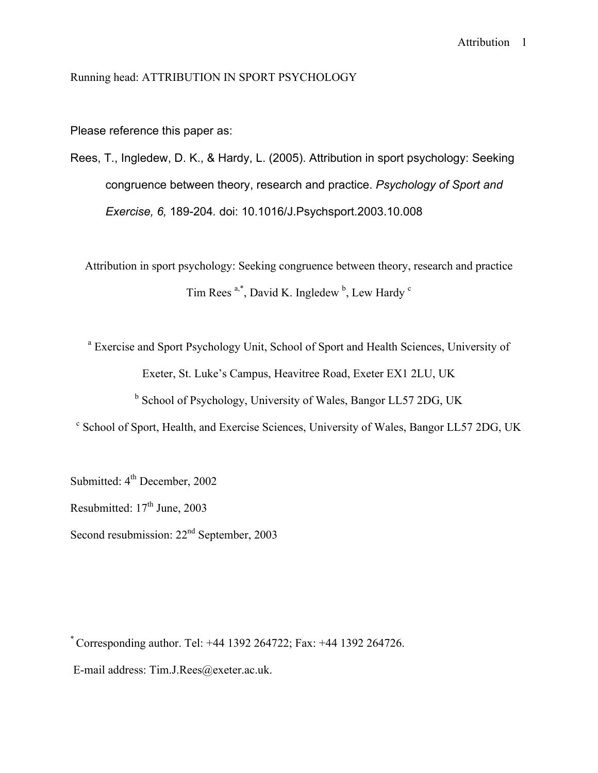# Running head: ATTRIBUTION IN SPORT PSYCHOLOGY

Please reference this paper as:

Rees, T., Ingledew, D. K., & Hardy, L. (2005). Attribution in sport psychology: Seeking congruence between theory, research and practice. *Psychology of Sport and Exercise, 6,* 189-204*.* doi: 10.1016/J.Psychsport.2003.10.008

Attribution in sport psychology: Seeking congruence between theory, research and practice Tim Rees<sup>a,\*</sup>, David K. Ingledew<sup>b</sup>, Lew Hardy<sup>c</sup>

<sup>a</sup> Exercise and Sport Psychology Unit, School of Sport and Health Sciences, University of Exeter, St. Luke's Campus, Heavitree Road, Exeter EX1 2LU, UK

<sup>b</sup> School of Psychology, University of Wales, Bangor LL57 2DG, UK

<sup>c</sup> School of Sport, Health, and Exercise Sciences, University of Wales, Bangor LL57 2DG, UK

Submitted:  $4<sup>th</sup>$  December, 2002 Resubmitted:  $17<sup>th</sup>$  June, 2003 Second resubmission:  $22<sup>nd</sup>$  September, 2003

\* Corresponding author. Tel: +44 1392 264722; Fax: +44 1392 264726. E-mail address: Tim.J.Rees@exeter.ac.uk.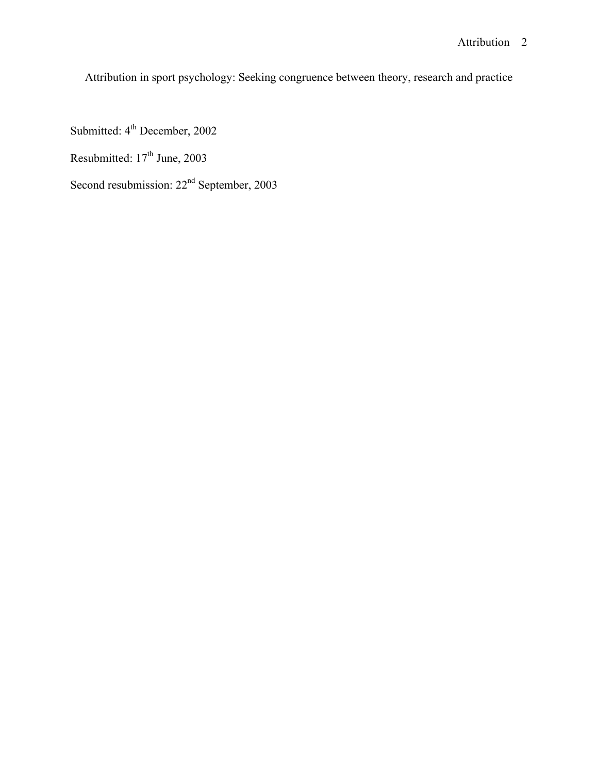Attribution in sport psychology: Seeking congruence between theory, research and practice

Submitted: 4<sup>th</sup> December, 2002

Resubmitted: 17<sup>th</sup> June, 2003

Second resubmission:  $22<sup>nd</sup>$  September, 2003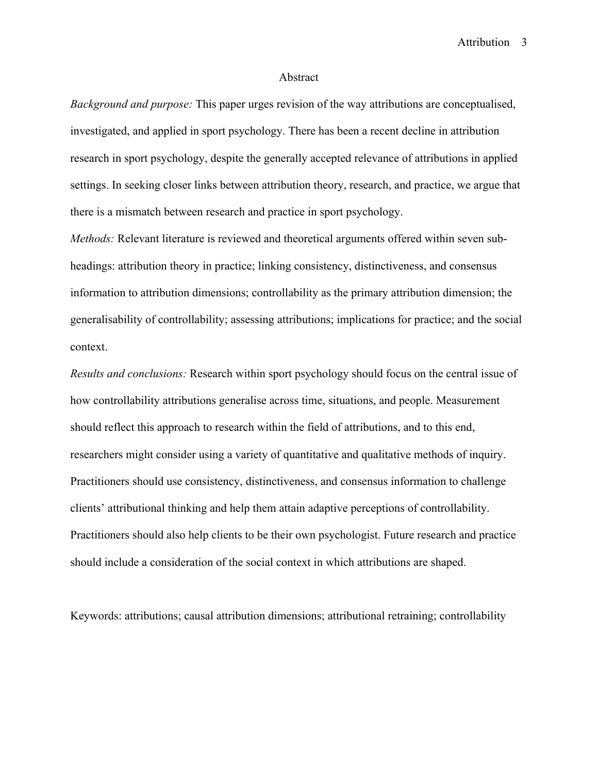#### Abstract

*Background and purpose:* This paper urges revision of the way attributions are conceptualised, investigated, and applied in sport psychology. There has been a recent decline in attribution research in sport psychology, despite the generally accepted relevance of attributions in applied settings. In seeking closer links between attribution theory, research, and practice, we argue that there is a mismatch between research and practice in sport psychology.

*Methods:* Relevant literature is reviewed and theoretical arguments offered within seven subheadings: attribution theory in practice; linking consistency, distinctiveness, and consensus information to attribution dimensions; controllability as the primary attribution dimension; the generalisability of controllability; assessing attributions; implications for practice; and the social context.

*Results and conclusions:* Research within sport psychology should focus on the central issue of how controllability attributions generalise across time, situations, and people. Measurement should reflect this approach to research within the field of attributions, and to this end, researchers might consider using a variety of quantitative and qualitative methods of inquiry. Practitioners should use consistency, distinctiveness, and consensus information to challenge clients' attributional thinking and help them attain adaptive perceptions of controllability. Practitioners should also help clients to be their own psychologist. Future research and practice should include a consideration of the social context in which attributions are shaped.

Keywords: attributions; causal attribution dimensions; attributional retraining; controllability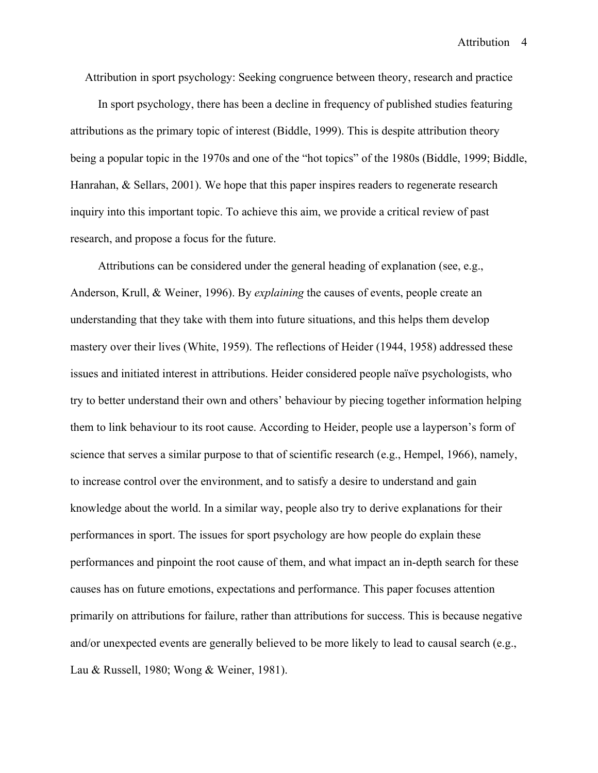Attribution in sport psychology: Seeking congruence between theory, research and practice

In sport psychology, there has been a decline in frequency of published studies featuring attributions as the primary topic of interest (Biddle, 1999). This is despite attribution theory being a popular topic in the 1970s and one of the "hot topics" of the 1980s (Biddle, 1999; Biddle, Hanrahan, & Sellars, 2001). We hope that this paper inspires readers to regenerate research inquiry into this important topic. To achieve this aim, we provide a critical review of past research, and propose a focus for the future.

Attributions can be considered under the general heading of explanation (see, e.g., Anderson, Krull, & Weiner, 1996). By *explaining* the causes of events, people create an understanding that they take with them into future situations, and this helps them develop mastery over their lives (White, 1959). The reflections of Heider (1944, 1958) addressed these issues and initiated interest in attributions. Heider considered people naïve psychologists, who try to better understand their own and others' behaviour by piecing together information helping them to link behaviour to its root cause. According to Heider, people use a layperson's form of science that serves a similar purpose to that of scientific research (e.g., Hempel, 1966), namely, to increase control over the environment, and to satisfy a desire to understand and gain knowledge about the world. In a similar way, people also try to derive explanations for their performances in sport. The issues for sport psychology are how people do explain these performances and pinpoint the root cause of them, and what impact an in-depth search for these causes has on future emotions, expectations and performance. This paper focuses attention primarily on attributions for failure, rather than attributions for success. This is because negative and/or unexpected events are generally believed to be more likely to lead to causal search (e.g., Lau & Russell, 1980; Wong & Weiner, 1981).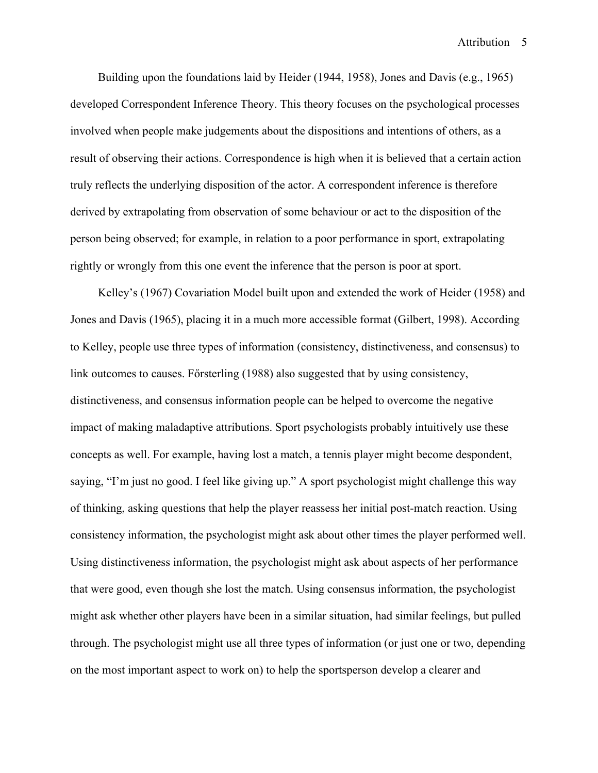Building upon the foundations laid by Heider (1944, 1958), Jones and Davis (e.g., 1965) developed Correspondent Inference Theory. This theory focuses on the psychological processes involved when people make judgements about the dispositions and intentions of others, as a result of observing their actions. Correspondence is high when it is believed that a certain action truly reflects the underlying disposition of the actor. A correspondent inference is therefore derived by extrapolating from observation of some behaviour or act to the disposition of the person being observed; for example, in relation to a poor performance in sport, extrapolating rightly or wrongly from this one event the inference that the person is poor at sport.

Kelley's (1967) Covariation Model built upon and extended the work of Heider (1958) and Jones and Davis (1965), placing it in a much more accessible format (Gilbert, 1998). According to Kelley, people use three types of information (consistency, distinctiveness, and consensus) to link outcomes to causes. Försterling  $(1988)$  also suggested that by using consistency, distinctiveness, and consensus information people can be helped to overcome the negative impact of making maladaptive attributions. Sport psychologists probably intuitively use these concepts as well. For example, having lost a match, a tennis player might become despondent, saying, "I'm just no good. I feel like giving up." A sport psychologist might challenge this way of thinking, asking questions that help the player reassess her initial post-match reaction. Using consistency information, the psychologist might ask about other times the player performed well. Using distinctiveness information, the psychologist might ask about aspects of her performance that were good, even though she lost the match. Using consensus information, the psychologist might ask whether other players have been in a similar situation, had similar feelings, but pulled through. The psychologist might use all three types of information (or just one or two, depending on the most important aspect to work on) to help the sportsperson develop a clearer and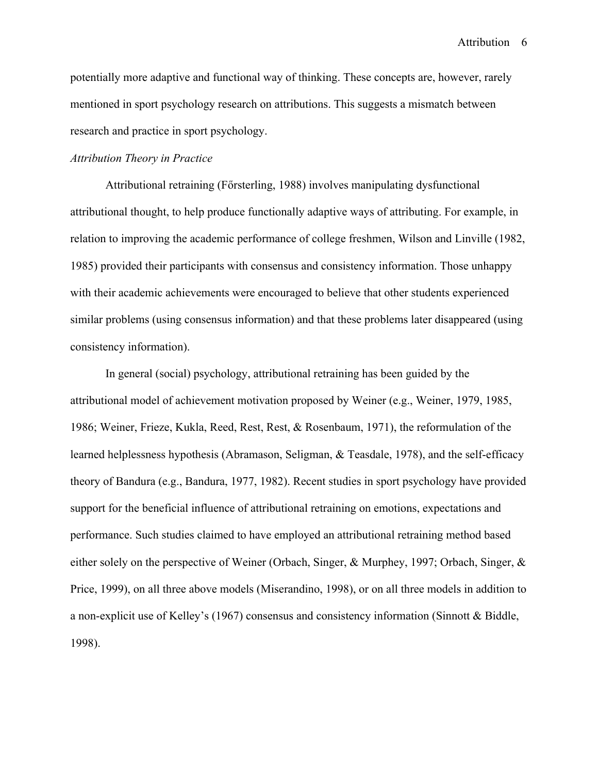potentially more adaptive and functional way of thinking. These concepts are, however, rarely mentioned in sport psychology research on attributions. This suggests a mismatch between research and practice in sport psychology.

#### *Attribution Theory in Practice*

Attributional retraining (Försterling, 1988) involves manipulating dysfunctional attributional thought, to help produce functionally adaptive ways of attributing. For example, in relation to improving the academic performance of college freshmen, Wilson and Linville (1982, 1985) provided their participants with consensus and consistency information. Those unhappy with their academic achievements were encouraged to believe that other students experienced similar problems (using consensus information) and that these problems later disappeared (using consistency information).

In general (social) psychology, attributional retraining has been guided by the attributional model of achievement motivation proposed by Weiner (e.g., Weiner, 1979, 1985, 1986; Weiner, Frieze, Kukla, Reed, Rest, Rest, & Rosenbaum, 1971), the reformulation of the learned helplessness hypothesis (Abramason, Seligman, & Teasdale, 1978), and the self-efficacy theory of Bandura (e.g., Bandura, 1977, 1982). Recent studies in sport psychology have provided support for the beneficial influence of attributional retraining on emotions, expectations and performance. Such studies claimed to have employed an attributional retraining method based either solely on the perspective of Weiner (Orbach, Singer, & Murphey, 1997; Orbach, Singer, & Price, 1999), on all three above models (Miserandino, 1998), or on all three models in addition to a non-explicit use of Kelley's (1967) consensus and consistency information (Sinnott & Biddle, 1998).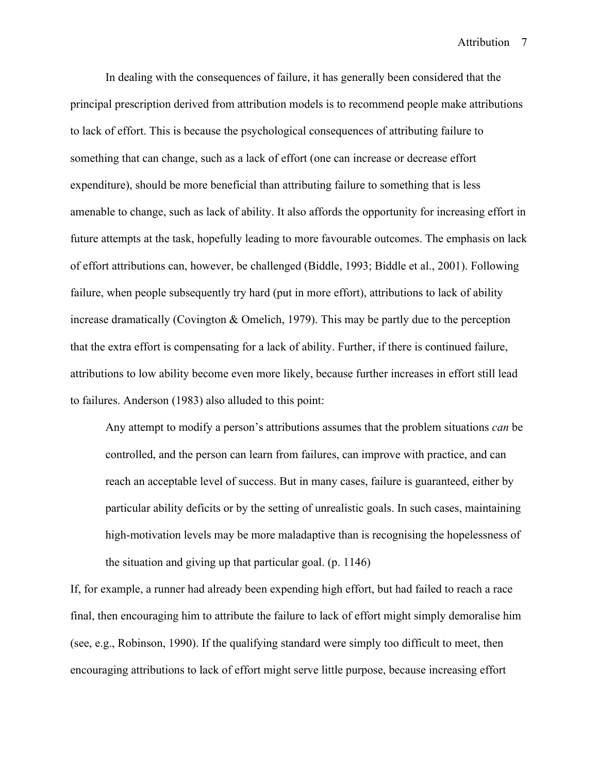In dealing with the consequences of failure, it has generally been considered that the principal prescription derived from attribution models is to recommend people make attributions to lack of effort. This is because the psychological consequences of attributing failure to something that can change, such as a lack of effort (one can increase or decrease effort expenditure), should be more beneficial than attributing failure to something that is less amenable to change, such as lack of ability. It also affords the opportunity for increasing effort in future attempts at the task, hopefully leading to more favourable outcomes. The emphasis on lack of effort attributions can, however, be challenged (Biddle, 1993; Biddle et al., 2001). Following failure, when people subsequently try hard (put in more effort), attributions to lack of ability increase dramatically (Covington & Omelich, 1979). This may be partly due to the perception that the extra effort is compensating for a lack of ability. Further, if there is continued failure, attributions to low ability become even more likely, because further increases in effort still lead to failures. Anderson (1983) also alluded to this point:

Any attempt to modify a person's attributions assumes that the problem situations *can* be controlled, and the person can learn from failures, can improve with practice, and can reach an acceptable level of success. But in many cases, failure is guaranteed, either by particular ability deficits or by the setting of unrealistic goals. In such cases, maintaining high-motivation levels may be more maladaptive than is recognising the hopelessness of the situation and giving up that particular goal. (p. 1146)

If, for example, a runner had already been expending high effort, but had failed to reach a race final, then encouraging him to attribute the failure to lack of effort might simply demoralise him (see, e.g., Robinson, 1990). If the qualifying standard were simply too difficult to meet, then encouraging attributions to lack of effort might serve little purpose, because increasing effort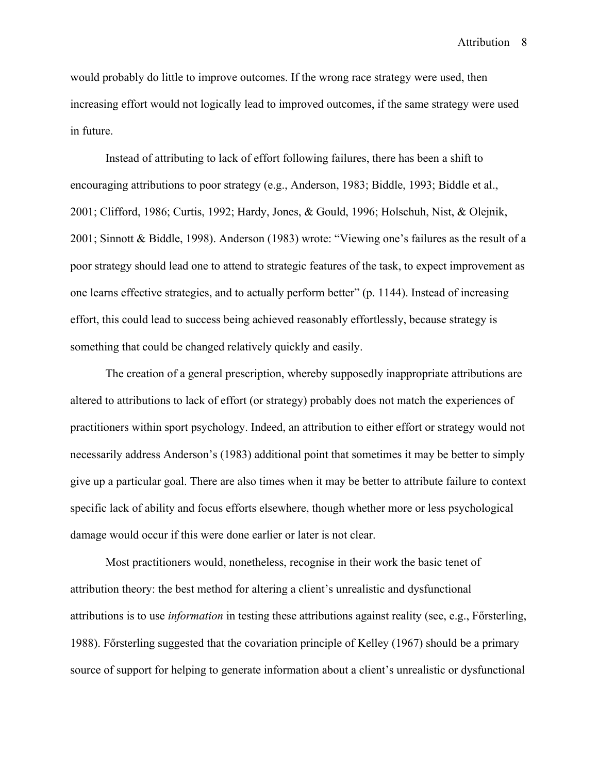would probably do little to improve outcomes. If the wrong race strategy were used, then increasing effort would not logically lead to improved outcomes, if the same strategy were used in future.

Instead of attributing to lack of effort following failures, there has been a shift to encouraging attributions to poor strategy (e.g., Anderson, 1983; Biddle, 1993; Biddle et al., 2001; Clifford, 1986; Curtis, 1992; Hardy, Jones, & Gould, 1996; Holschuh, Nist, & Olejnik, 2001; Sinnott & Biddle, 1998). Anderson (1983) wrote: "Viewing one's failures as the result of a poor strategy should lead one to attend to strategic features of the task, to expect improvement as one learns effective strategies, and to actually perform better" (p. 1144). Instead of increasing effort, this could lead to success being achieved reasonably effortlessly, because strategy is something that could be changed relatively quickly and easily.

The creation of a general prescription, whereby supposedly inappropriate attributions are altered to attributions to lack of effort (or strategy) probably does not match the experiences of practitioners within sport psychology. Indeed, an attribution to either effort or strategy would not necessarily address Anderson's (1983) additional point that sometimes it may be better to simply give up a particular goal. There are also times when it may be better to attribute failure to context specific lack of ability and focus efforts elsewhere, though whether more or less psychological damage would occur if this were done earlier or later is not clear.

Most practitioners would, nonetheless, recognise in their work the basic tenet of attribution theory: the best method for altering a client's unrealistic and dysfunctional attributions is to use *information* in testing these attributions against reality (see, e.g., Försterling, 1988). Försterling suggested that the covariation principle of Kelley (1967) should be a primary source of support for helping to generate information about a client's unrealistic or dysfunctional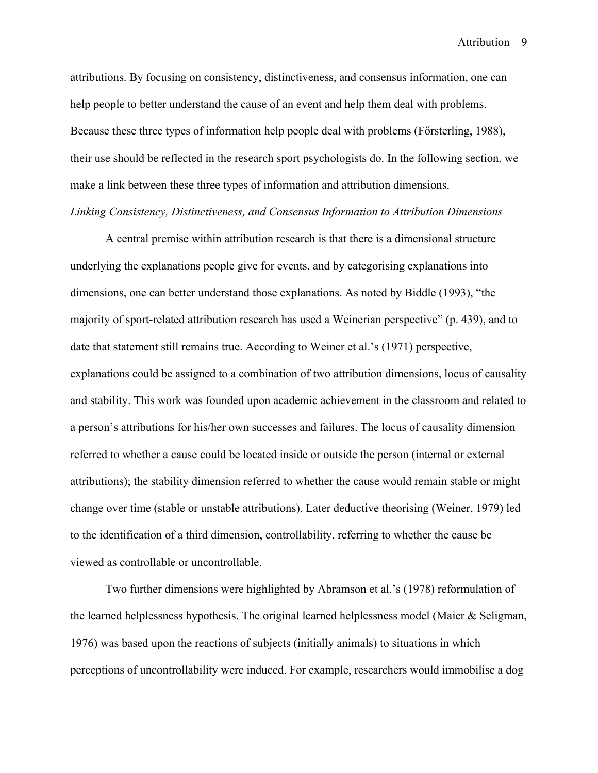attributions. By focusing on consistency, distinctiveness, and consensus information, one can help people to better understand the cause of an event and help them deal with problems. Because these three types of information help people deal with problems (F orsterling, 1988), their use should be reflected in the research sport psychologists do. In the following section, we make a link between these three types of information and attribution dimensions. *Linking Consistency, Distinctiveness, and Consensus Information to Attribution Dimensions*

A central premise within attribution research is that there is a dimensional structure underlying the explanations people give for events, and by categorising explanations into dimensions, one can better understand those explanations. As noted by Biddle (1993), "the majority of sport-related attribution research has used a Weinerian perspective" (p. 439), and to date that statement still remains true. According to Weiner et al.'s (1971) perspective, explanations could be assigned to a combination of two attribution dimensions, locus of causality and stability. This work was founded upon academic achievement in the classroom and related to a person's attributions for his/her own successes and failures. The locus of causality dimension referred to whether a cause could be located inside or outside the person (internal or external attributions); the stability dimension referred to whether the cause would remain stable or might change over time (stable or unstable attributions). Later deductive theorising (Weiner, 1979) led to the identification of a third dimension, controllability, referring to whether the cause be viewed as controllable or uncontrollable.

Two further dimensions were highlighted by Abramson et al.'s (1978) reformulation of the learned helplessness hypothesis. The original learned helplessness model (Maier & Seligman, 1976) was based upon the reactions of subjects (initially animals) to situations in which perceptions of uncontrollability were induced. For example, researchers would immobilise a dog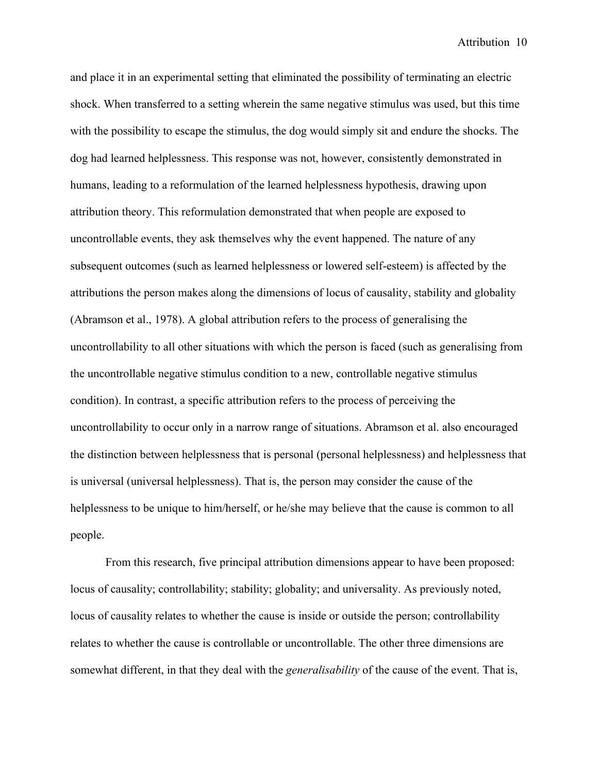and place it in an experimental setting that eliminated the possibility of terminating an electric shock. When transferred to a setting wherein the same negative stimulus was used, but this time with the possibility to escape the stimulus, the dog would simply sit and endure the shocks. The dog had learned helplessness. This response was not, however, consistently demonstrated in humans, leading to a reformulation of the learned helplessness hypothesis, drawing upon attribution theory. This reformulation demonstrated that when people are exposed to uncontrollable events, they ask themselves why the event happened. The nature of any subsequent outcomes (such as learned helplessness or lowered self-esteem) is affected by the attributions the person makes along the dimensions of locus of causality, stability and globality (Abramson et al., 1978). A global attribution refers to the process of generalising the uncontrollability to all other situations with which the person is faced (such as generalising from the uncontrollable negative stimulus condition to a new, controllable negative stimulus condition). In contrast, a specific attribution refers to the process of perceiving the uncontrollability to occur only in a narrow range of situations. Abramson et al. also encouraged the distinction between helplessness that is personal (personal helplessness) and helplessness that is universal (universal helplessness). That is, the person may consider the cause of the helplessness to be unique to him/herself, or he/she may believe that the cause is common to all people.

From this research, five principal attribution dimensions appear to have been proposed: locus of causality; controllability; stability; globality; and universality. As previously noted, locus of causality relates to whether the cause is inside or outside the person; controllability relates to whether the cause is controllable or uncontrollable. The other three dimensions are somewhat different, in that they deal with the *generalisability* of the cause of the event. That is,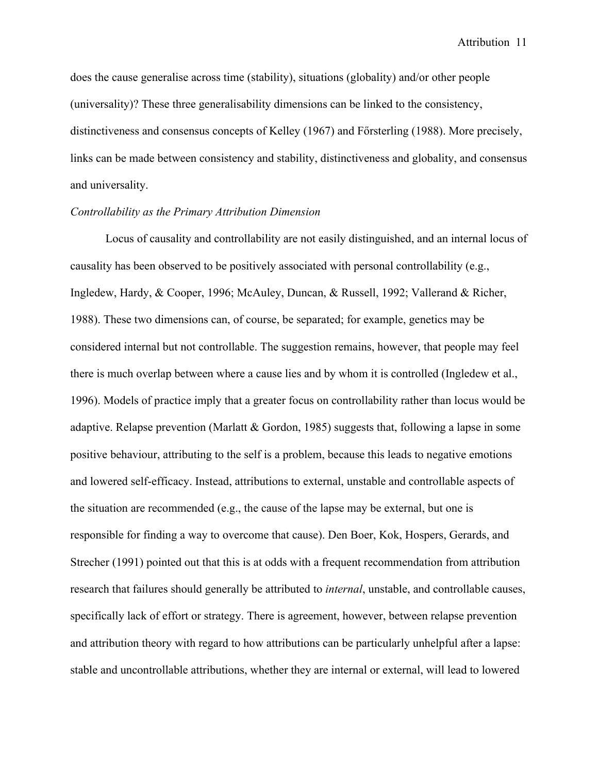does the cause generalise across time (stability), situations (globality) and/or other people (universality)? These three generalisability dimensions can be linked to the consistency, distinctiveness and consensus concepts of Kelley  $(1967)$  and Főrsterling (1988). More precisely, links can be made between consistency and stability, distinctiveness and globality, and consensus and universality.

# *Controllability as the Primary Attribution Dimension*

Locus of causality and controllability are not easily distinguished, and an internal locus of causality has been observed to be positively associated with personal controllability (e.g., Ingledew, Hardy, & Cooper, 1996; McAuley, Duncan, & Russell, 1992; Vallerand & Richer, 1988). These two dimensions can, of course, be separated; for example, genetics may be considered internal but not controllable. The suggestion remains, however, that people may feel there is much overlap between where a cause lies and by whom it is controlled (Ingledew et al., 1996). Models of practice imply that a greater focus on controllability rather than locus would be adaptive. Relapse prevention (Marlatt & Gordon, 1985) suggests that, following a lapse in some positive behaviour, attributing to the self is a problem, because this leads to negative emotions and lowered self-efficacy. Instead, attributions to external, unstable and controllable aspects of the situation are recommended (e.g., the cause of the lapse may be external, but one is responsible for finding a way to overcome that cause). Den Boer, Kok, Hospers, Gerards, and Strecher (1991) pointed out that this is at odds with a frequent recommendation from attribution research that failures should generally be attributed to *internal*, unstable, and controllable causes, specifically lack of effort or strategy. There is agreement, however, between relapse prevention and attribution theory with regard to how attributions can be particularly unhelpful after a lapse: stable and uncontrollable attributions, whether they are internal or external, will lead to lowered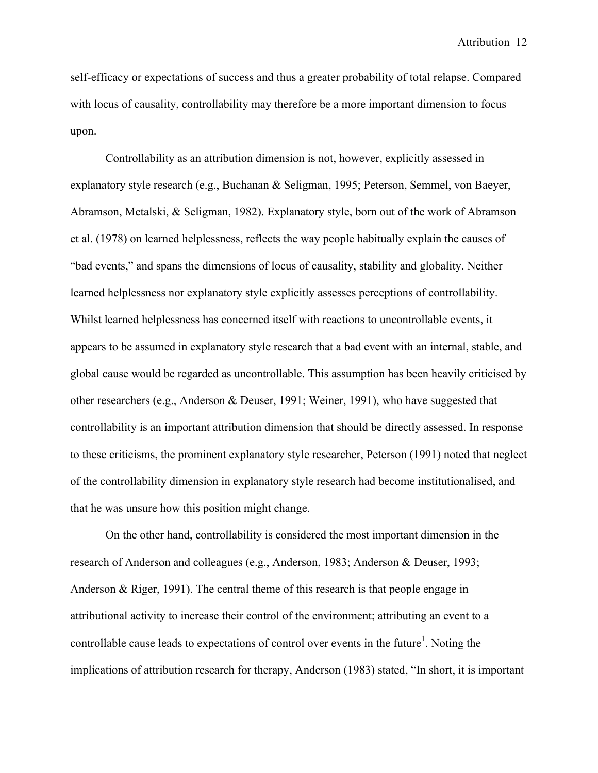self-efficacy or expectations of success and thus a greater probability of total relapse. Compared with locus of causality, controllability may therefore be a more important dimension to focus upon.

Controllability as an attribution dimension is not, however, explicitly assessed in explanatory style research (e.g., Buchanan & Seligman, 1995; Peterson, Semmel, von Baeyer, Abramson, Metalski, & Seligman, 1982). Explanatory style, born out of the work of Abramson et al. (1978) on learned helplessness, reflects the way people habitually explain the causes of "bad events," and spans the dimensions of locus of causality, stability and globality. Neither learned helplessness nor explanatory style explicitly assesses perceptions of controllability. Whilst learned helplessness has concerned itself with reactions to uncontrollable events, it appears to be assumed in explanatory style research that a bad event with an internal, stable, and global cause would be regarded as uncontrollable. This assumption has been heavily criticised by other researchers (e.g., Anderson & Deuser, 1991; Weiner, 1991), who have suggested that controllability is an important attribution dimension that should be directly assessed. In response to these criticisms, the prominent explanatory style researcher, Peterson (1991) noted that neglect of the controllability dimension in explanatory style research had become institutionalised, and that he was unsure how this position might change.

On the other hand, controllability is considered the most important dimension in the research of Anderson and colleagues (e.g., Anderson, 1983; Anderson & Deuser, 1993; Anderson & Riger, 1991). The central theme of this research is that people engage in attributional activity to increase their control of the environment; attributing an event to a controllable cause leads to expectations of control over events in the future<sup>1</sup>. Noting the implications of attribution research for therapy, Anderson (1983) stated, "In short, it is important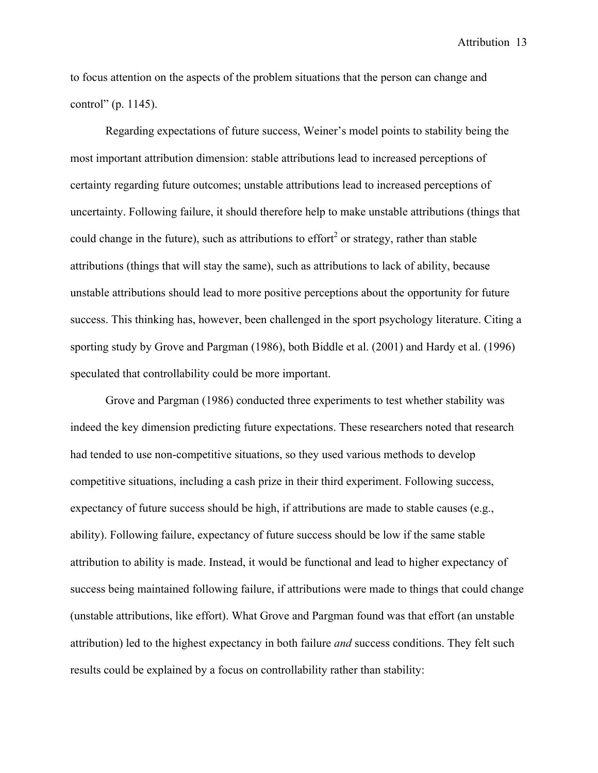to focus attention on the aspects of the problem situations that the person can change and control" (p. 1145).

Regarding expectations of future success, Weiner's model points to stability being the most important attribution dimension: stable attributions lead to increased perceptions of certainty regarding future outcomes; unstable attributions lead to increased perceptions of uncertainty. Following failure, it should therefore help to make unstable attributions (things that could change in the future), such as attributions to effort<sup>2</sup> or strategy, rather than stable attributions (things that will stay the same), such as attributions to lack of ability, because unstable attributions should lead to more positive perceptions about the opportunity for future success. This thinking has, however, been challenged in the sport psychology literature. Citing a sporting study by Grove and Pargman (1986), both Biddle et al. (2001) and Hardy et al. (1996) speculated that controllability could be more important.

Grove and Pargman (1986) conducted three experiments to test whether stability was indeed the key dimension predicting future expectations. These researchers noted that research had tended to use non-competitive situations, so they used various methods to develop competitive situations, including a cash prize in their third experiment. Following success, expectancy of future success should be high, if attributions are made to stable causes (e.g., ability). Following failure, expectancy of future success should be low if the same stable attribution to ability is made. Instead, it would be functional and lead to higher expectancy of success being maintained following failure, if attributions were made to things that could change (unstable attributions, like effort). What Grove and Pargman found was that effort (an unstable attribution) led to the highest expectancy in both failure *and* success conditions. They felt such results could be explained by a focus on controllability rather than stability: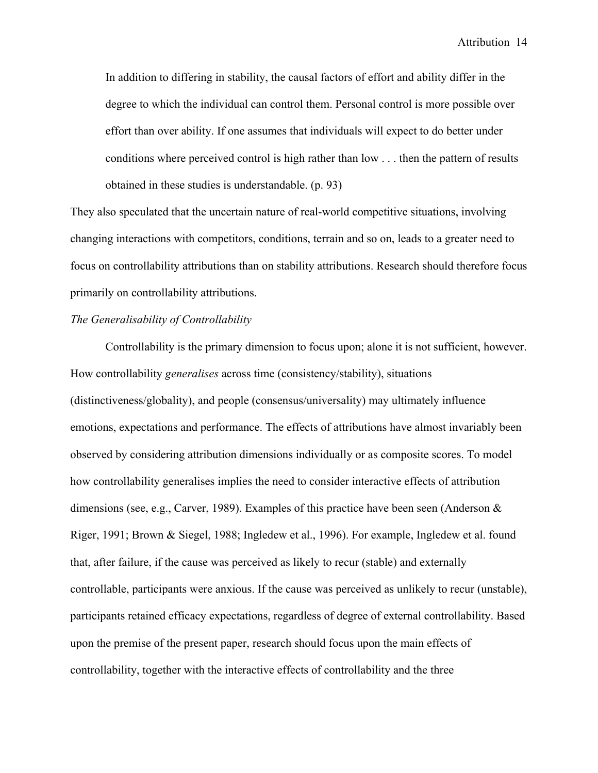In addition to differing in stability, the causal factors of effort and ability differ in the degree to which the individual can control them. Personal control is more possible over effort than over ability. If one assumes that individuals will expect to do better under conditions where perceived control is high rather than low . . . then the pattern of results obtained in these studies is understandable. (p. 93)

They also speculated that the uncertain nature of real-world competitive situations, involving changing interactions with competitors, conditions, terrain and so on, leads to a greater need to focus on controllability attributions than on stability attributions. Research should therefore focus primarily on controllability attributions.

## *The Generalisability of Controllability*

Controllability is the primary dimension to focus upon; alone it is not sufficient, however. How controllability *generalises* across time (consistency/stability), situations (distinctiveness/globality), and people (consensus/universality) may ultimately influence emotions, expectations and performance. The effects of attributions have almost invariably been observed by considering attribution dimensions individually or as composite scores. To model how controllability generalises implies the need to consider interactive effects of attribution dimensions (see, e.g., Carver, 1989). Examples of this practice have been seen (Anderson & Riger, 1991; Brown & Siegel, 1988; Ingledew et al., 1996). For example, Ingledew et al. found that, after failure, if the cause was perceived as likely to recur (stable) and externally controllable, participants were anxious. If the cause was perceived as unlikely to recur (unstable), participants retained efficacy expectations, regardless of degree of external controllability. Based upon the premise of the present paper, research should focus upon the main effects of controllability, together with the interactive effects of controllability and the three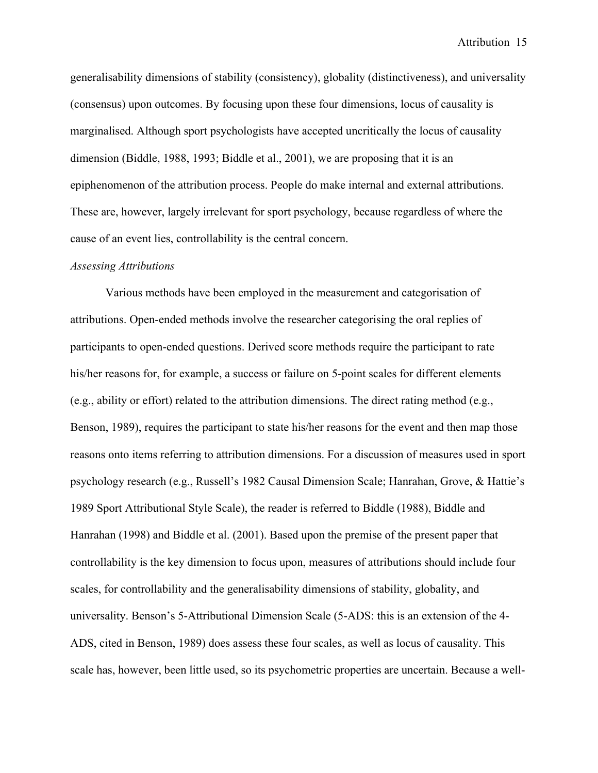generalisability dimensions of stability (consistency), globality (distinctiveness), and universality (consensus) upon outcomes. By focusing upon these four dimensions, locus of causality is marginalised. Although sport psychologists have accepted uncritically the locus of causality dimension (Biddle, 1988, 1993; Biddle et al., 2001), we are proposing that it is an epiphenomenon of the attribution process. People do make internal and external attributions. These are, however, largely irrelevant for sport psychology, because regardless of where the cause of an event lies, controllability is the central concern.

#### *Assessing Attributions*

Various methods have been employed in the measurement and categorisation of attributions. Open-ended methods involve the researcher categorising the oral replies of participants to open-ended questions. Derived score methods require the participant to rate his/her reasons for, for example, a success or failure on 5-point scales for different elements (e.g., ability or effort) related to the attribution dimensions. The direct rating method (e.g., Benson, 1989), requires the participant to state his/her reasons for the event and then map those reasons onto items referring to attribution dimensions. For a discussion of measures used in sport psychology research (e.g., Russell's 1982 Causal Dimension Scale; Hanrahan, Grove, & Hattie's 1989 Sport Attributional Style Scale), the reader is referred to Biddle (1988), Biddle and Hanrahan (1998) and Biddle et al. (2001). Based upon the premise of the present paper that controllability is the key dimension to focus upon, measures of attributions should include four scales, for controllability and the generalisability dimensions of stability, globality, and universality. Benson's 5-Attributional Dimension Scale (5-ADS: this is an extension of the 4- ADS, cited in Benson, 1989) does assess these four scales, as well as locus of causality. This scale has, however, been little used, so its psychometric properties are uncertain. Because a well-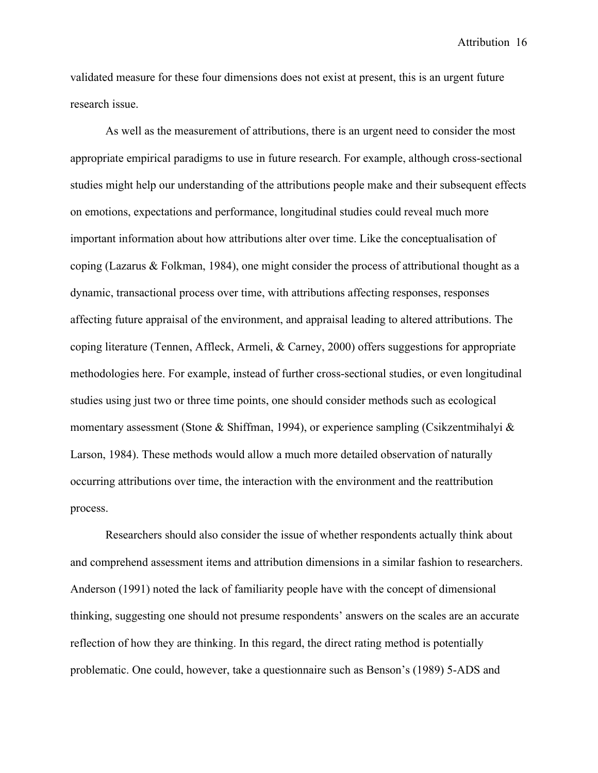validated measure for these four dimensions does not exist at present, this is an urgent future research issue.

As well as the measurement of attributions, there is an urgent need to consider the most appropriate empirical paradigms to use in future research. For example, although cross-sectional studies might help our understanding of the attributions people make and their subsequent effects on emotions, expectations and performance, longitudinal studies could reveal much more important information about how attributions alter over time. Like the conceptualisation of coping (Lazarus & Folkman, 1984), one might consider the process of attributional thought as a dynamic, transactional process over time, with attributions affecting responses, responses affecting future appraisal of the environment, and appraisal leading to altered attributions. The coping literature (Tennen, Affleck, Armeli, & Carney, 2000) offers suggestions for appropriate methodologies here. For example, instead of further cross-sectional studies, or even longitudinal studies using just two or three time points, one should consider methods such as ecological momentary assessment (Stone & Shiffman, 1994), or experience sampling (Csikzentmihalyi & Larson, 1984). These methods would allow a much more detailed observation of naturally occurring attributions over time, the interaction with the environment and the reattribution process.

Researchers should also consider the issue of whether respondents actually think about and comprehend assessment items and attribution dimensions in a similar fashion to researchers. Anderson (1991) noted the lack of familiarity people have with the concept of dimensional thinking, suggesting one should not presume respondents' answers on the scales are an accurate reflection of how they are thinking. In this regard, the direct rating method is potentially problematic. One could, however, take a questionnaire such as Benson's (1989) 5-ADS and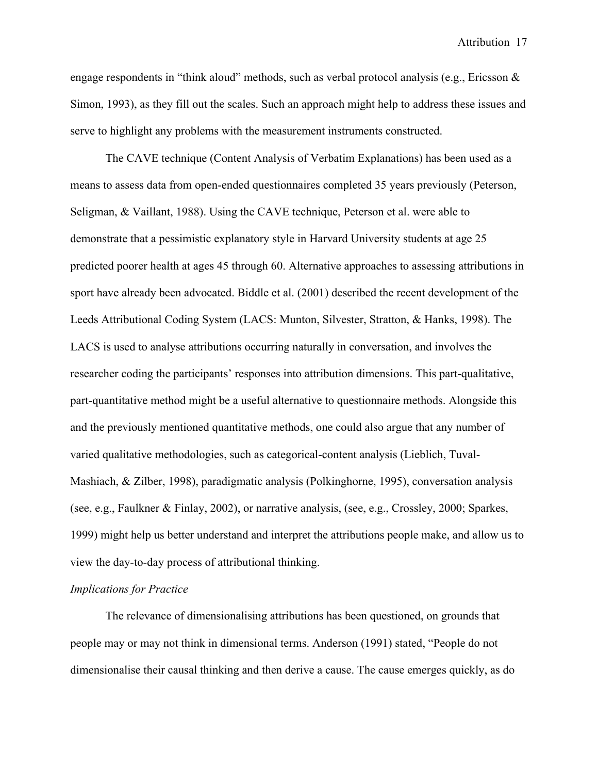engage respondents in "think aloud" methods, such as verbal protocol analysis (e.g., Ericsson  $\&$ Simon, 1993), as they fill out the scales. Such an approach might help to address these issues and serve to highlight any problems with the measurement instruments constructed.

The CAVE technique (Content Analysis of Verbatim Explanations) has been used as a means to assess data from open-ended questionnaires completed 35 years previously (Peterson, Seligman, & Vaillant, 1988). Using the CAVE technique, Peterson et al. were able to demonstrate that a pessimistic explanatory style in Harvard University students at age 25 predicted poorer health at ages 45 through 60. Alternative approaches to assessing attributions in sport have already been advocated. Biddle et al. (2001) described the recent development of the Leeds Attributional Coding System (LACS: Munton, Silvester, Stratton, & Hanks, 1998). The LACS is used to analyse attributions occurring naturally in conversation, and involves the researcher coding the participants' responses into attribution dimensions. This part-qualitative, part-quantitative method might be a useful alternative to questionnaire methods. Alongside this and the previously mentioned quantitative methods, one could also argue that any number of varied qualitative methodologies, such as categorical-content analysis (Lieblich, Tuval-Mashiach, & Zilber, 1998), paradigmatic analysis (Polkinghorne, 1995), conversation analysis (see, e.g., Faulkner & Finlay, 2002), or narrative analysis, (see, e.g., Crossley, 2000; Sparkes, 1999) might help us better understand and interpret the attributions people make, and allow us to view the day-to-day process of attributional thinking.

## *Implications for Practice*

The relevance of dimensionalising attributions has been questioned, on grounds that people may or may not think in dimensional terms. Anderson (1991) stated, "People do not dimensionalise their causal thinking and then derive a cause. The cause emerges quickly, as do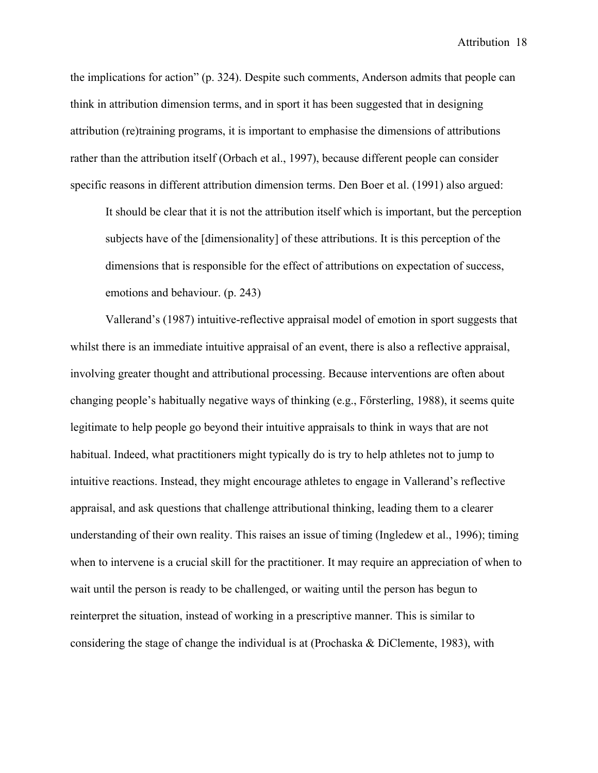the implications for action" (p. 324). Despite such comments, Anderson admits that people can think in attribution dimension terms, and in sport it has been suggested that in designing attribution (re)training programs, it is important to emphasise the dimensions of attributions rather than the attribution itself (Orbach et al., 1997), because different people can consider specific reasons in different attribution dimension terms. Den Boer et al. (1991) also argued:

It should be clear that it is not the attribution itself which is important, but the perception subjects have of the [dimensionality] of these attributions. It is this perception of the dimensions that is responsible for the effect of attributions on expectation of success, emotions and behaviour. (p. 243)

Vallerand's (1987) intuitive-reflective appraisal model of emotion in sport suggests that whilst there is an immediate intuitive appraisal of an event, there is also a reflective appraisal, involving greater thought and attributional processing. Because interventions are often about changing people's habitually negative ways of thinking (e.g., Försterling, 1988), it seems quite legitimate to help people go beyond their intuitive appraisals to think in ways that are not habitual. Indeed, what practitioners might typically do is try to help athletes not to jump to intuitive reactions. Instead, they might encourage athletes to engage in Vallerand's reflective appraisal, and ask questions that challenge attributional thinking, leading them to a clearer understanding of their own reality. This raises an issue of timing (Ingledew et al., 1996); timing when to intervene is a crucial skill for the practitioner. It may require an appreciation of when to wait until the person is ready to be challenged, or waiting until the person has begun to reinterpret the situation, instead of working in a prescriptive manner. This is similar to considering the stage of change the individual is at (Prochaska & DiClemente, 1983), with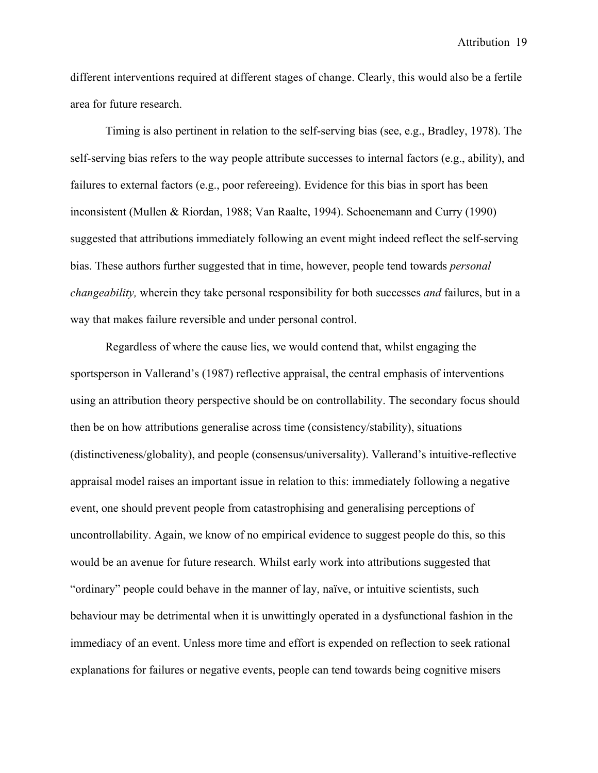different interventions required at different stages of change. Clearly, this would also be a fertile area for future research.

Timing is also pertinent in relation to the self-serving bias (see, e.g., Bradley, 1978). The self-serving bias refers to the way people attribute successes to internal factors (e.g., ability), and failures to external factors (e.g., poor refereeing). Evidence for this bias in sport has been inconsistent (Mullen & Riordan, 1988; Van Raalte, 1994). Schoenemann and Curry (1990) suggested that attributions immediately following an event might indeed reflect the self-serving bias. These authors further suggested that in time, however, people tend towards *personal changeability,* wherein they take personal responsibility for both successes *and* failures, but in a way that makes failure reversible and under personal control.

Regardless of where the cause lies, we would contend that, whilst engaging the sportsperson in Vallerand's (1987) reflective appraisal, the central emphasis of interventions using an attribution theory perspective should be on controllability. The secondary focus should then be on how attributions generalise across time (consistency/stability), situations (distinctiveness/globality), and people (consensus/universality). Vallerand's intuitive-reflective appraisal model raises an important issue in relation to this: immediately following a negative event, one should prevent people from catastrophising and generalising perceptions of uncontrollability. Again, we know of no empirical evidence to suggest people do this, so this would be an avenue for future research. Whilst early work into attributions suggested that "ordinary" people could behave in the manner of lay, naïve, or intuitive scientists, such behaviour may be detrimental when it is unwittingly operated in a dysfunctional fashion in the immediacy of an event. Unless more time and effort is expended on reflection to seek rational explanations for failures or negative events, people can tend towards being cognitive misers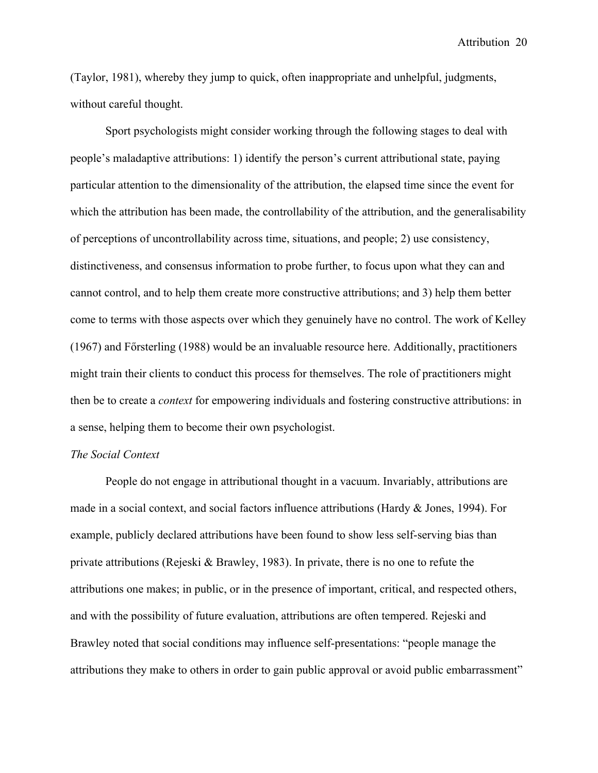(Taylor, 1981), whereby they jump to quick, often inappropriate and unhelpful, judgments, without careful thought.

Sport psychologists might consider working through the following stages to deal with people's maladaptive attributions: 1) identify the person's current attributional state, paying particular attention to the dimensionality of the attribution, the elapsed time since the event for which the attribution has been made, the controllability of the attribution, and the generalisability of perceptions of uncontrollability across time, situations, and people; 2) use consistency, distinctiveness, and consensus information to probe further, to focus upon what they can and cannot control, and to help them create more constructive attributions; and 3) help them better come to terms with those aspects over which they genuinely have no control. The work of Kelley (1967) and Försterling (1988) would be an invaluable resource here. Additionally, practitioners might train their clients to conduct this process for themselves. The role of practitioners might then be to create a *context* for empowering individuals and fostering constructive attributions: in a sense, helping them to become their own psychologist.

## *The Social Context*

People do not engage in attributional thought in a vacuum. Invariably, attributions are made in a social context, and social factors influence attributions (Hardy & Jones, 1994). For example, publicly declared attributions have been found to show less self-serving bias than private attributions (Rejeski & Brawley, 1983). In private, there is no one to refute the attributions one makes; in public, or in the presence of important, critical, and respected others, and with the possibility of future evaluation, attributions are often tempered. Rejeski and Brawley noted that social conditions may influence self-presentations: "people manage the attributions they make to others in order to gain public approval or avoid public embarrassment"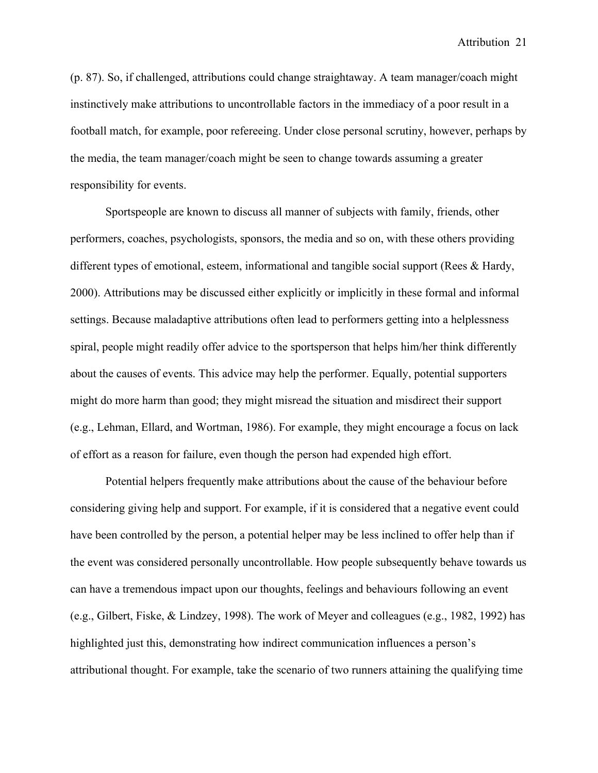(p. 87). So, if challenged, attributions could change straightaway. A team manager/coach might instinctively make attributions to uncontrollable factors in the immediacy of a poor result in a football match, for example, poor refereeing. Under close personal scrutiny, however, perhaps by the media, the team manager/coach might be seen to change towards assuming a greater responsibility for events.

Sportspeople are known to discuss all manner of subjects with family, friends, other performers, coaches, psychologists, sponsors, the media and so on, with these others providing different types of emotional, esteem, informational and tangible social support (Rees & Hardy, 2000). Attributions may be discussed either explicitly or implicitly in these formal and informal settings. Because maladaptive attributions often lead to performers getting into a helplessness spiral, people might readily offer advice to the sportsperson that helps him/her think differently about the causes of events. This advice may help the performer. Equally, potential supporters might do more harm than good; they might misread the situation and misdirect their support (e.g., Lehman, Ellard, and Wortman, 1986). For example, they might encourage a focus on lack of effort as a reason for failure, even though the person had expended high effort.

Potential helpers frequently make attributions about the cause of the behaviour before considering giving help and support. For example, if it is considered that a negative event could have been controlled by the person, a potential helper may be less inclined to offer help than if the event was considered personally uncontrollable. How people subsequently behave towards us can have a tremendous impact upon our thoughts, feelings and behaviours following an event (e.g., Gilbert, Fiske, & Lindzey, 1998). The work of Meyer and colleagues (e.g., 1982, 1992) has highlighted just this, demonstrating how indirect communication influences a person's attributional thought. For example, take the scenario of two runners attaining the qualifying time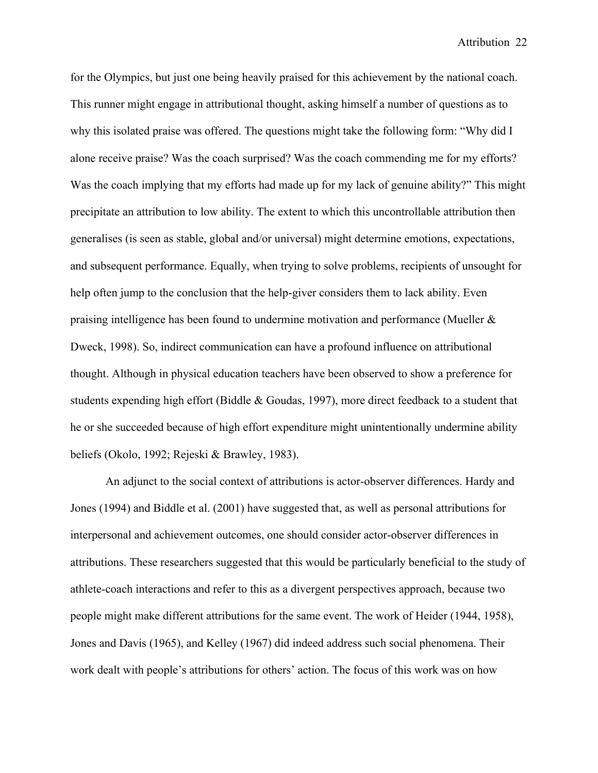for the Olympics, but just one being heavily praised for this achievement by the national coach. This runner might engage in attributional thought, asking himself a number of questions as to why this isolated praise was offered. The questions might take the following form: "Why did I alone receive praise? Was the coach surprised? Was the coach commending me for my efforts? Was the coach implying that my efforts had made up for my lack of genuine ability?" This might precipitate an attribution to low ability. The extent to which this uncontrollable attribution then generalises (is seen as stable, global and/or universal) might determine emotions, expectations, and subsequent performance. Equally, when trying to solve problems, recipients of unsought for help often jump to the conclusion that the help-giver considers them to lack ability. Even praising intelligence has been found to undermine motivation and performance (Mueller & Dweck, 1998). So, indirect communication can have a profound influence on attributional thought. Although in physical education teachers have been observed to show a preference for students expending high effort (Biddle & Goudas, 1997), more direct feedback to a student that he or she succeeded because of high effort expenditure might unintentionally undermine ability beliefs (Okolo, 1992; Rejeski & Brawley, 1983).

An adjunct to the social context of attributions is actor-observer differences. Hardy and Jones (1994) and Biddle et al. (2001) have suggested that, as well as personal attributions for interpersonal and achievement outcomes, one should consider actor-observer differences in attributions. These researchers suggested that this would be particularly beneficial to the study of athlete-coach interactions and refer to this as a divergent perspectives approach, because two people might make different attributions for the same event. The work of Heider (1944, 1958), Jones and Davis (1965), and Kelley (1967) did indeed address such social phenomena. Their work dealt with people's attributions for others' action. The focus of this work was on how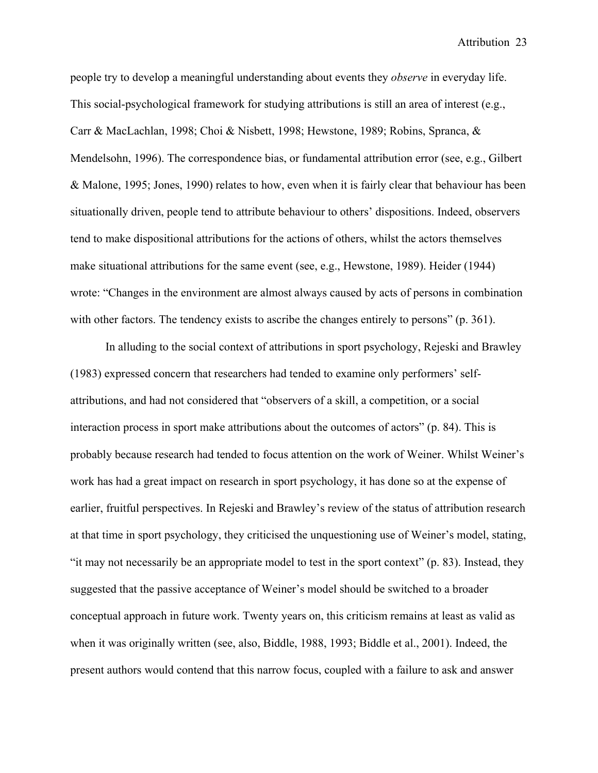people try to develop a meaningful understanding about events they *observe* in everyday life. This social-psychological framework for studying attributions is still an area of interest (e.g., Carr & MacLachlan, 1998; Choi & Nisbett, 1998; Hewstone, 1989; Robins, Spranca, & Mendelsohn, 1996). The correspondence bias, or fundamental attribution error (see, e.g., Gilbert & Malone, 1995; Jones, 1990) relates to how, even when it is fairly clear that behaviour has been situationally driven, people tend to attribute behaviour to others' dispositions. Indeed, observers tend to make dispositional attributions for the actions of others, whilst the actors themselves make situational attributions for the same event (see, e.g., Hewstone, 1989). Heider (1944) wrote: "Changes in the environment are almost always caused by acts of persons in combination with other factors. The tendency exists to ascribe the changes entirely to persons" (p. 361).

In alluding to the social context of attributions in sport psychology, Rejeski and Brawley (1983) expressed concern that researchers had tended to examine only performers' selfattributions, and had not considered that "observers of a skill, a competition, or a social interaction process in sport make attributions about the outcomes of actors" (p. 84). This is probably because research had tended to focus attention on the work of Weiner. Whilst Weiner's work has had a great impact on research in sport psychology, it has done so at the expense of earlier, fruitful perspectives. In Rejeski and Brawley's review of the status of attribution research at that time in sport psychology, they criticised the unquestioning use of Weiner's model, stating, "it may not necessarily be an appropriate model to test in the sport context" (p. 83). Instead, they suggested that the passive acceptance of Weiner's model should be switched to a broader conceptual approach in future work. Twenty years on, this criticism remains at least as valid as when it was originally written (see, also, Biddle, 1988, 1993; Biddle et al., 2001). Indeed, the present authors would contend that this narrow focus, coupled with a failure to ask and answer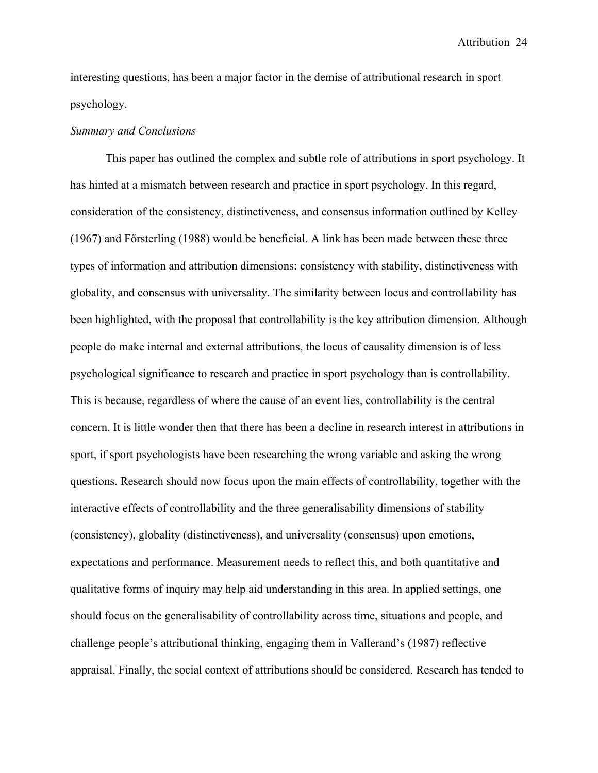interesting questions, has been a major factor in the demise of attributional research in sport psychology.

#### *Summary and Conclusions*

This paper has outlined the complex and subtle role of attributions in sport psychology. It has hinted at a mismatch between research and practice in sport psychology. In this regard, consideration of the consistency, distinctiveness, and consensus information outlined by Kelley  $(1967)$  and F $\ddot{o}$ rsterling (1988) would be beneficial. A link has been made between these three types of information and attribution dimensions: consistency with stability, distinctiveness with globality, and consensus with universality. The similarity between locus and controllability has been highlighted, with the proposal that controllability is the key attribution dimension. Although people do make internal and external attributions, the locus of causality dimension is of less psychological significance to research and practice in sport psychology than is controllability. This is because, regardless of where the cause of an event lies, controllability is the central concern. It is little wonder then that there has been a decline in research interest in attributions in sport, if sport psychologists have been researching the wrong variable and asking the wrong questions. Research should now focus upon the main effects of controllability, together with the interactive effects of controllability and the three generalisability dimensions of stability (consistency), globality (distinctiveness), and universality (consensus) upon emotions, expectations and performance. Measurement needs to reflect this, and both quantitative and qualitative forms of inquiry may help aid understanding in this area. In applied settings, one should focus on the generalisability of controllability across time, situations and people, and challenge people's attributional thinking, engaging them in Vallerand's (1987) reflective appraisal. Finally, the social context of attributions should be considered. Research has tended to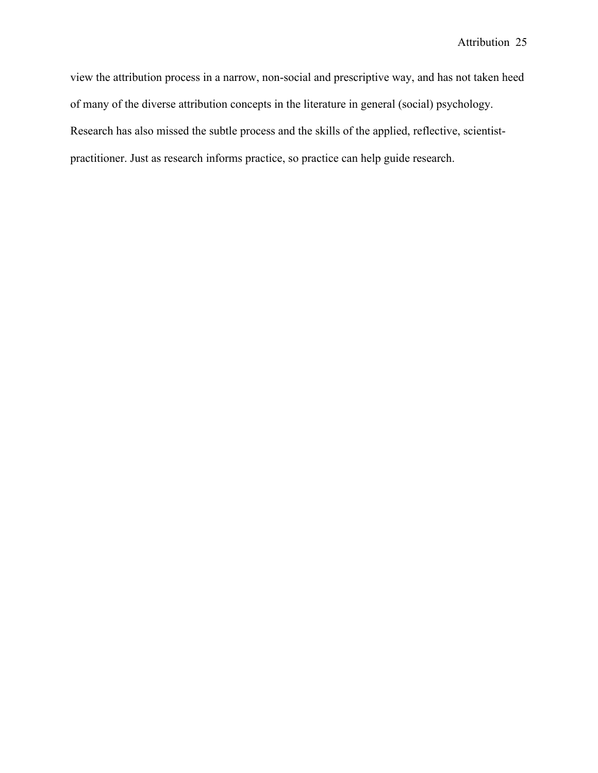view the attribution process in a narrow, non-social and prescriptive way, and has not taken heed of many of the diverse attribution concepts in the literature in general (social) psychology. Research has also missed the subtle process and the skills of the applied, reflective, scientistpractitioner. Just as research informs practice, so practice can help guide research.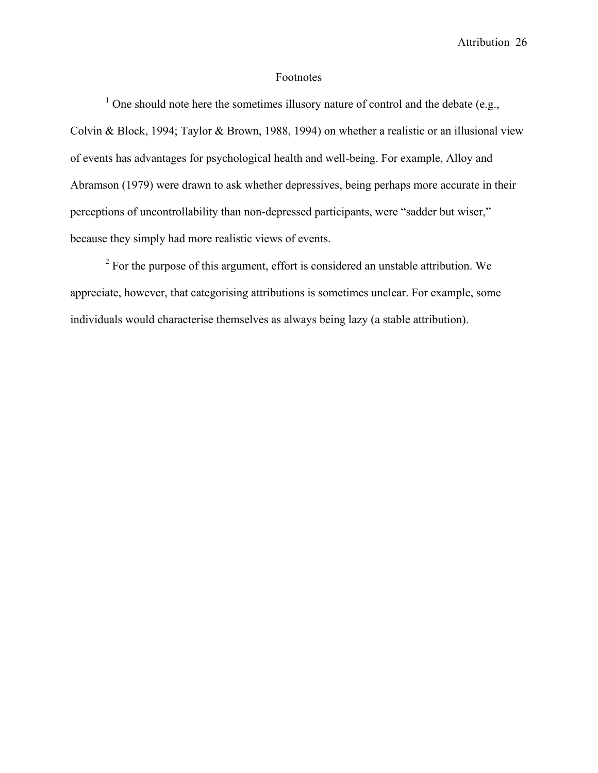## Footnotes

<sup>1</sup> One should note here the sometimes illusory nature of control and the debate (e.g., Colvin & Block, 1994; Taylor & Brown, 1988, 1994) on whether a realistic or an illusional view of events has advantages for psychological health and well-being. For example, Alloy and Abramson (1979) were drawn to ask whether depressives, being perhaps more accurate in their perceptions of uncontrollability than non-depressed participants, were "sadder but wiser," because they simply had more realistic views of events.

<sup>2</sup> For the purpose of this argument, effort is considered an unstable attribution. We appreciate, however, that categorising attributions is sometimes unclear. For example, some individuals would characterise themselves as always being lazy (a stable attribution).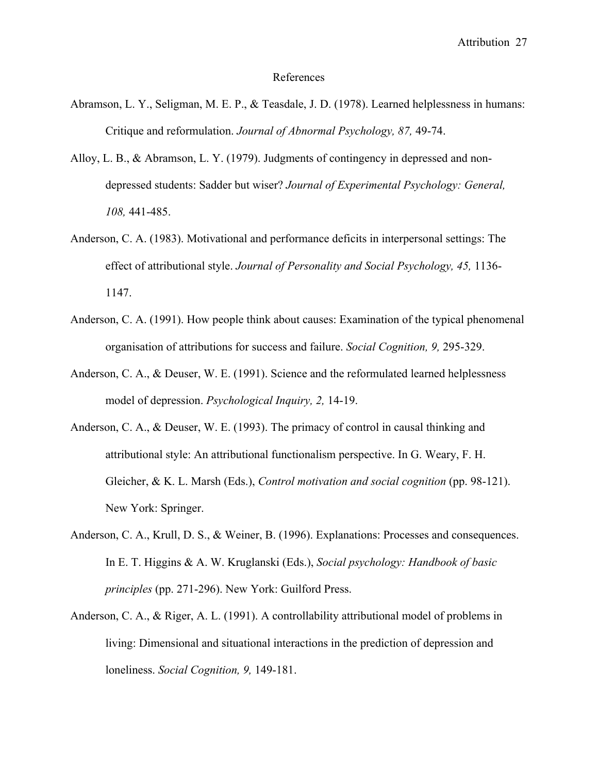#### References

- Abramson, L. Y., Seligman, M. E. P., & Teasdale, J. D. (1978). Learned helplessness in humans: Critique and reformulation. *Journal of Abnormal Psychology, 87,* 49-74.
- Alloy, L. B., & Abramson, L. Y. (1979). Judgments of contingency in depressed and nondepressed students: Sadder but wiser? *Journal of Experimental Psychology: General, 108,* 441-485.
- Anderson, C. A. (1983). Motivational and performance deficits in interpersonal settings: The effect of attributional style. *Journal of Personality and Social Psychology, 45,* 1136- 1147.
- Anderson, C. A. (1991). How people think about causes: Examination of the typical phenomenal organisation of attributions for success and failure. *Social Cognition, 9,* 295-329.
- Anderson, C. A., & Deuser, W. E. (1991). Science and the reformulated learned helplessness model of depression. *Psychological Inquiry, 2,* 14-19.
- Anderson, C. A., & Deuser, W. E. (1993). The primacy of control in causal thinking and attributional style: An attributional functionalism perspective. In G. Weary, F. H. Gleicher, & K. L. Marsh (Eds.), *Control motivation and social cognition* (pp. 98-121). New York: Springer.
- Anderson, C. A., Krull, D. S., & Weiner, B. (1996). Explanations: Processes and consequences. In E. T. Higgins & A. W. Kruglanski (Eds.), *Social psychology: Handbook of basic principles* (pp. 271-296). New York: Guilford Press.
- Anderson, C. A., & Riger, A. L. (1991). A controllability attributional model of problems in living: Dimensional and situational interactions in the prediction of depression and loneliness. *Social Cognition, 9,* 149-181.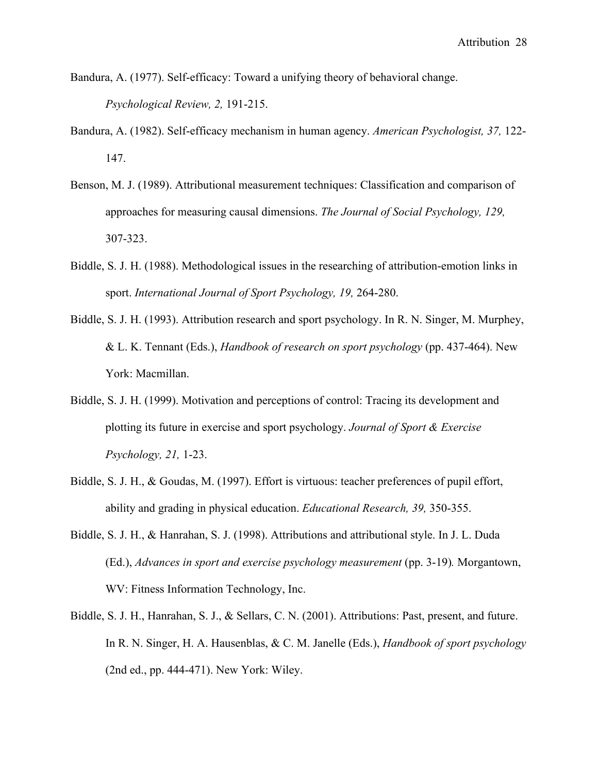Bandura, A. (1977). Self-efficacy: Toward a unifying theory of behavioral change.

*Psychological Review, 2,* 191-215.

- Bandura, A. (1982). Self-efficacy mechanism in human agency. *American Psychologist, 37,* 122- 147.
- Benson, M. J. (1989). Attributional measurement techniques: Classification and comparison of approaches for measuring causal dimensions. *The Journal of Social Psychology, 129,* 307-323.
- Biddle, S. J. H. (1988). Methodological issues in the researching of attribution-emotion links in sport. *International Journal of Sport Psychology, 19,* 264-280.
- Biddle, S. J. H. (1993). Attribution research and sport psychology. In R. N. Singer, M. Murphey, & L. K. Tennant (Eds.), *Handbook of research on sport psychology* (pp. 437-464). New York: Macmillan.
- Biddle, S. J. H. (1999). Motivation and perceptions of control: Tracing its development and plotting its future in exercise and sport psychology. *Journal of Sport & Exercise Psychology, 21,* 1-23.
- Biddle, S. J. H., & Goudas, M. (1997). Effort is virtuous: teacher preferences of pupil effort, ability and grading in physical education. *Educational Research, 39,* 350-355.
- Biddle, S. J. H., & Hanrahan, S. J. (1998). Attributions and attributional style. In J. L. Duda (Ed.), *Advances in sport and exercise psychology measurement* (pp. 3-19)*.* Morgantown, WV: Fitness Information Technology, Inc.
- Biddle, S. J. H., Hanrahan, S. J., & Sellars, C. N. (2001). Attributions: Past, present, and future. In R. N. Singer, H. A. Hausenblas, & C. M. Janelle (Eds.), *Handbook of sport psychology*  (2nd ed., pp. 444-471). New York: Wiley.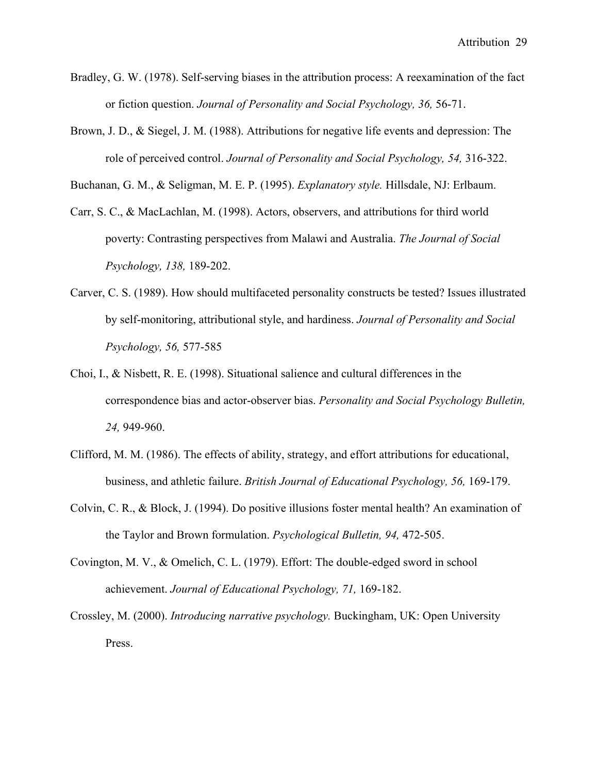- Bradley, G. W. (1978). Self-serving biases in the attribution process: A reexamination of the fact or fiction question. *Journal of Personality and Social Psychology, 36,* 56-71.
- Brown, J. D., & Siegel, J. M. (1988). Attributions for negative life events and depression: The role of perceived control. *Journal of Personality and Social Psychology, 54,* 316-322.

Buchanan, G. M., & Seligman, M. E. P. (1995). *Explanatory style.* Hillsdale, NJ: Erlbaum.

- Carr, S. C., & MacLachlan, M. (1998). Actors, observers, and attributions for third world poverty: Contrasting perspectives from Malawi and Australia. *The Journal of Social Psychology, 138,* 189-202.
- Carver, C. S. (1989). How should multifaceted personality constructs be tested? Issues illustrated by self-monitoring, attributional style, and hardiness. *Journal of Personality and Social Psychology, 56,* 577-585
- Choi, I., & Nisbett, R. E. (1998). Situational salience and cultural differences in the correspondence bias and actor-observer bias. *Personality and Social Psychology Bulletin, 24,* 949-960.
- Clifford, M. M. (1986). The effects of ability, strategy, and effort attributions for educational, business, and athletic failure. *British Journal of Educational Psychology, 56,* 169-179.
- Colvin, C. R., & Block, J. (1994). Do positive illusions foster mental health? An examination of the Taylor and Brown formulation. *Psychological Bulletin, 94,* 472-505.
- Covington, M. V., & Omelich, C. L. (1979). Effort: The double-edged sword in school achievement. *Journal of Educational Psychology, 71,* 169-182.
- Crossley, M. (2000). *Introducing narrative psychology.* Buckingham, UK: Open University Press.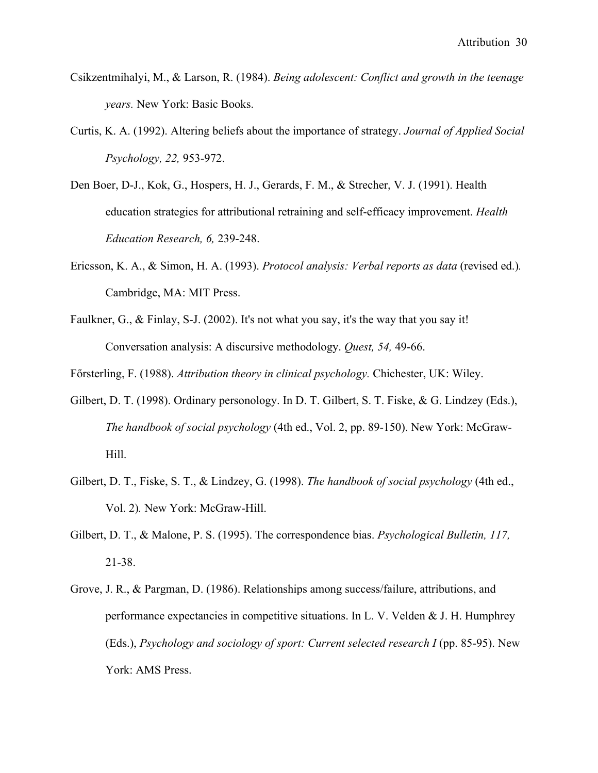- Csikzentmihalyi, M., & Larson, R. (1984). *Being adolescent: Conflict and growth in the teenage years.* New York: Basic Books.
- Curtis, K. A. (1992). Altering beliefs about the importance of strategy. *Journal of Applied Social Psychology, 22,* 953-972.
- Den Boer, D-J., Kok, G., Hospers, H. J., Gerards, F. M., & Strecher, V. J. (1991). Health education strategies for attributional retraining and self-efficacy improvement. *Health Education Research, 6,* 239-248.
- Ericsson, K. A., & Simon, H. A. (1993). *Protocol analysis: Verbal reports as data* (revised ed.)*.* Cambridge, MA: MIT Press.
- Faulkner, G., & Finlay, S-J. (2002). It's not what you say, it's the way that you say it! Conversation analysis: A discursive methodology. *Quest, 54,* 49-66.

Försterling, F. (1988). *Attribution theory in clinical psychology*. Chichester, UK: Wiley.

- Gilbert, D. T. (1998). Ordinary personology. In D. T. Gilbert, S. T. Fiske, & G. Lindzey (Eds.), *The handbook of social psychology* (4th ed., Vol. 2, pp. 89-150). New York: McGraw-Hill.
- Gilbert, D. T., Fiske, S. T., & Lindzey, G. (1998). *The handbook of social psychology* (4th ed., Vol. 2)*.* New York: McGraw-Hill.
- Gilbert, D. T., & Malone, P. S. (1995). The correspondence bias. *Psychological Bulletin, 117,* 21-38.
- Grove, J. R., & Pargman, D. (1986). Relationships among success/failure, attributions, and performance expectancies in competitive situations. In L. V. Velden & J. H. Humphrey (Eds.), *Psychology and sociology of sport: Current selected research I* (pp. 85-95). New York: AMS Press.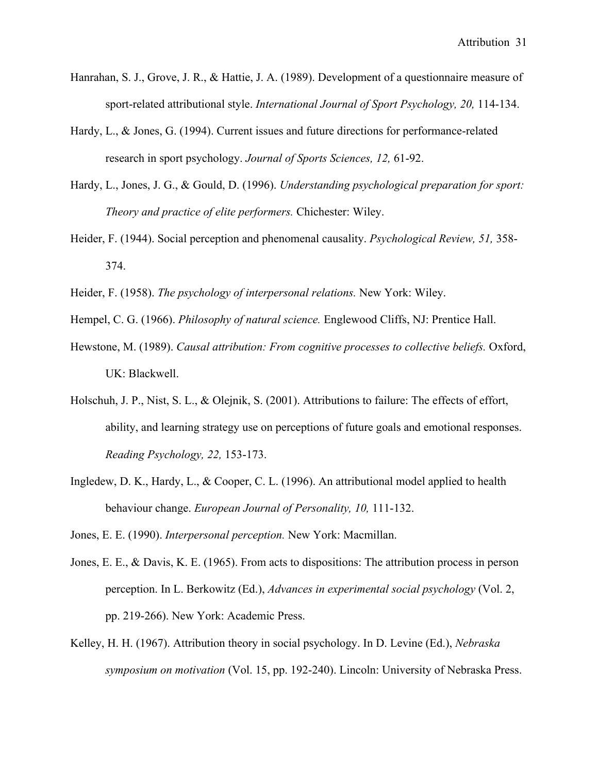- Hanrahan, S. J., Grove, J. R., & Hattie, J. A. (1989). Development of a questionnaire measure of sport-related attributional style. *International Journal of Sport Psychology, 20,* 114-134.
- Hardy, L., & Jones, G. (1994). Current issues and future directions for performance-related research in sport psychology. *Journal of Sports Sciences, 12,* 61-92.
- Hardy, L., Jones, J. G., & Gould, D. (1996). *Understanding psychological preparation for sport: Theory and practice of elite performers.* Chichester: Wiley.
- Heider, F. (1944). Social perception and phenomenal causality. *Psychological Review, 51,* 358- 374.
- Heider, F. (1958). *The psychology of interpersonal relations.* New York: Wiley.
- Hempel, C. G. (1966). *Philosophy of natural science.* Englewood Cliffs, NJ: Prentice Hall.
- Hewstone, M. (1989). *Causal attribution: From cognitive processes to collective beliefs.* Oxford, UK: Blackwell.
- Holschuh, J. P., Nist, S. L., & Olejnik, S. (2001). Attributions to failure: The effects of effort, ability, and learning strategy use on perceptions of future goals and emotional responses. *Reading Psychology, 22,* 153-173.
- Ingledew, D. K., Hardy, L., & Cooper, C. L. (1996). An attributional model applied to health behaviour change. *European Journal of Personality, 10,* 111-132.

Jones, E. E. (1990). *Interpersonal perception.* New York: Macmillan.

- Jones, E. E., & Davis, K. E. (1965). From acts to dispositions: The attribution process in person perception. In L. Berkowitz (Ed.), *Advances in experimental social psychology* (Vol. 2, pp. 219-266). New York: Academic Press.
- Kelley, H. H. (1967). Attribution theory in social psychology. In D. Levine (Ed.), *Nebraska symposium on motivation* (Vol. 15, pp. 192-240). Lincoln: University of Nebraska Press.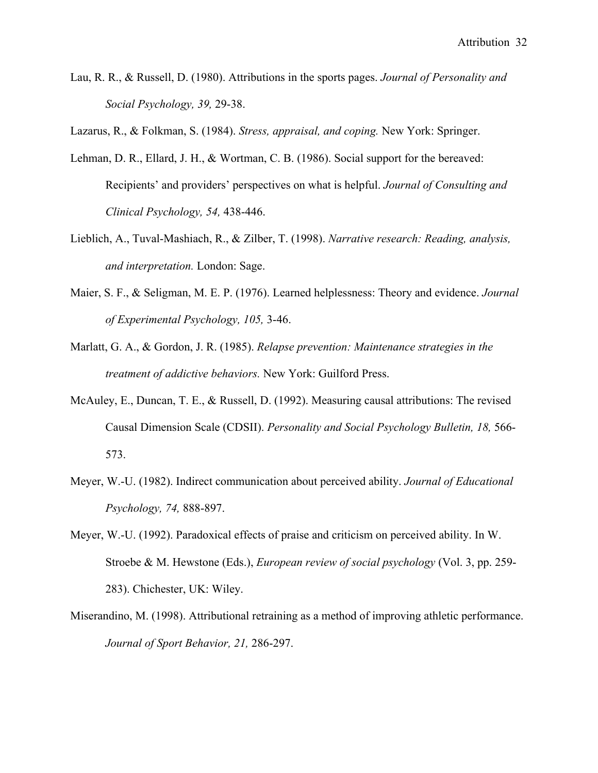Lau, R. R., & Russell, D. (1980). Attributions in the sports pages. *Journal of Personality and Social Psychology, 39,* 29-38.

Lazarus, R., & Folkman, S. (1984). *Stress, appraisal, and coping.* New York: Springer.

- Lehman, D. R., Ellard, J. H., & Wortman, C. B. (1986). Social support for the bereaved: Recipients' and providers' perspectives on what is helpful. *Journal of Consulting and Clinical Psychology, 54,* 438-446.
- Lieblich, A., Tuval-Mashiach, R., & Zilber, T. (1998). *Narrative research: Reading, analysis, and interpretation.* London: Sage.
- Maier, S. F., & Seligman, M. E. P. (1976). Learned helplessness: Theory and evidence. *Journal of Experimental Psychology, 105,* 3-46.
- Marlatt, G. A., & Gordon, J. R. (1985). *Relapse prevention: Maintenance strategies in the treatment of addictive behaviors.* New York: Guilford Press.
- McAuley, E., Duncan, T. E., & Russell, D. (1992). Measuring causal attributions: The revised Causal Dimension Scale (CDSII). *Personality and Social Psychology Bulletin, 18,* 566- 573.
- Meyer, W.-U. (1982). Indirect communication about perceived ability. *Journal of Educational Psychology, 74,* 888-897.
- Meyer, W.-U. (1992). Paradoxical effects of praise and criticism on perceived ability. In W. Stroebe & M. Hewstone (Eds.), *European review of social psychology* (Vol. 3, pp. 259- 283). Chichester, UK: Wiley.
- Miserandino, M. (1998). Attributional retraining as a method of improving athletic performance. *Journal of Sport Behavior, 21,* 286-297.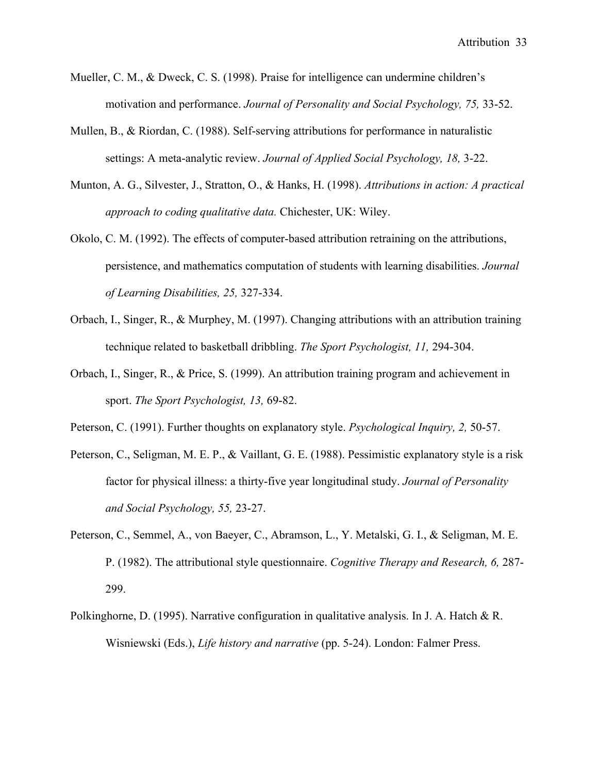- Mueller, C. M., & Dweck, C. S. (1998). Praise for intelligence can undermine children's motivation and performance. *Journal of Personality and Social Psychology, 75,* 33-52.
- Mullen, B., & Riordan, C. (1988). Self-serving attributions for performance in naturalistic settings: A meta-analytic review. *Journal of Applied Social Psychology, 18,* 3-22.
- Munton, A. G., Silvester, J., Stratton, O., & Hanks, H. (1998). *Attributions in action: A practical approach to coding qualitative data.* Chichester, UK: Wiley.
- Okolo, C. M. (1992). The effects of computer-based attribution retraining on the attributions, persistence, and mathematics computation of students with learning disabilities. *Journal of Learning Disabilities, 25,* 327-334.
- Orbach, I., Singer, R., & Murphey, M. (1997). Changing attributions with an attribution training technique related to basketball dribbling. *The Sport Psychologist, 11,* 294-304.
- Orbach, I., Singer, R., & Price, S. (1999). An attribution training program and achievement in sport. *The Sport Psychologist, 13,* 69-82.
- Peterson, C. (1991). Further thoughts on explanatory style. *Psychological Inquiry, 2,* 50-57.
- Peterson, C., Seligman, M. E. P., & Vaillant, G. E. (1988). Pessimistic explanatory style is a risk factor for physical illness: a thirty-five year longitudinal study. *Journal of Personality and Social Psychology, 55,* 23-27.
- Peterson, C., Semmel, A., von Baeyer, C., Abramson, L., Y. Metalski, G. I., & Seligman, M. E. P. (1982). The attributional style questionnaire. *Cognitive Therapy and Research, 6,* 287- 299.
- Polkinghorne, D. (1995). Narrative configuration in qualitative analysis. In J. A. Hatch & R. Wisniewski (Eds.), *Life history and narrative* (pp. 5-24). London: Falmer Press.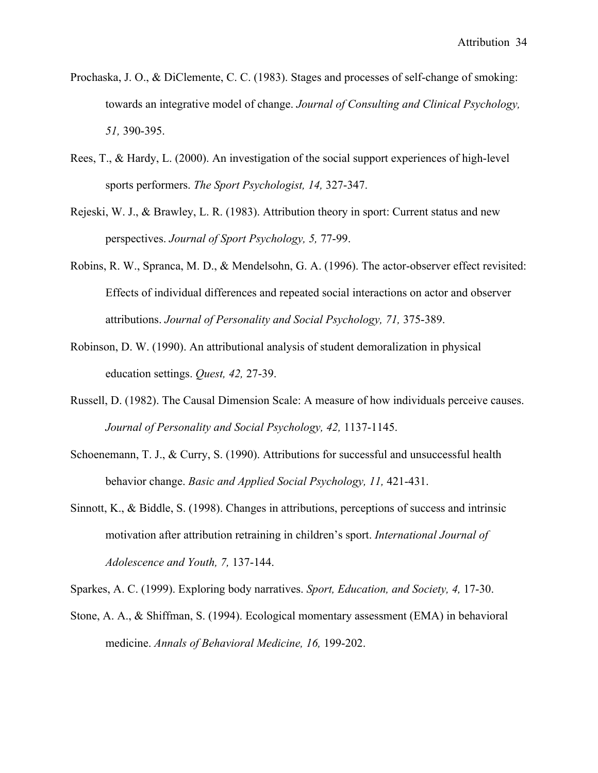- Prochaska, J. O., & DiClemente, C. C. (1983). Stages and processes of self-change of smoking: towards an integrative model of change. *Journal of Consulting and Clinical Psychology, 51,* 390-395.
- Rees, T., & Hardy, L. (2000). An investigation of the social support experiences of high-level sports performers. *The Sport Psychologist, 14,* 327-347.
- Rejeski, W. J., & Brawley, L. R. (1983). Attribution theory in sport: Current status and new perspectives. *Journal of Sport Psychology, 5,* 77-99.
- Robins, R. W., Spranca, M. D., & Mendelsohn, G. A. (1996). The actor-observer effect revisited: Effects of individual differences and repeated social interactions on actor and observer attributions. *Journal of Personality and Social Psychology, 71,* 375-389.
- Robinson, D. W. (1990). An attributional analysis of student demoralization in physical education settings. *Quest, 42,* 27-39.
- Russell, D. (1982). The Causal Dimension Scale: A measure of how individuals perceive causes. *Journal of Personality and Social Psychology, 42,* 1137-1145.
- Schoenemann, T. J., & Curry, S. (1990). Attributions for successful and unsuccessful health behavior change. *Basic and Applied Social Psychology, 11,* 421-431.
- Sinnott, K., & Biddle, S. (1998). Changes in attributions, perceptions of success and intrinsic motivation after attribution retraining in children's sport. *International Journal of Adolescence and Youth, 7,* 137-144.

Sparkes, A. C. (1999). Exploring body narratives. *Sport, Education, and Society, 4,* 17-30.

Stone, A. A., & Shiffman, S. (1994). Ecological momentary assessment (EMA) in behavioral medicine. *Annals of Behavioral Medicine, 16,* 199-202.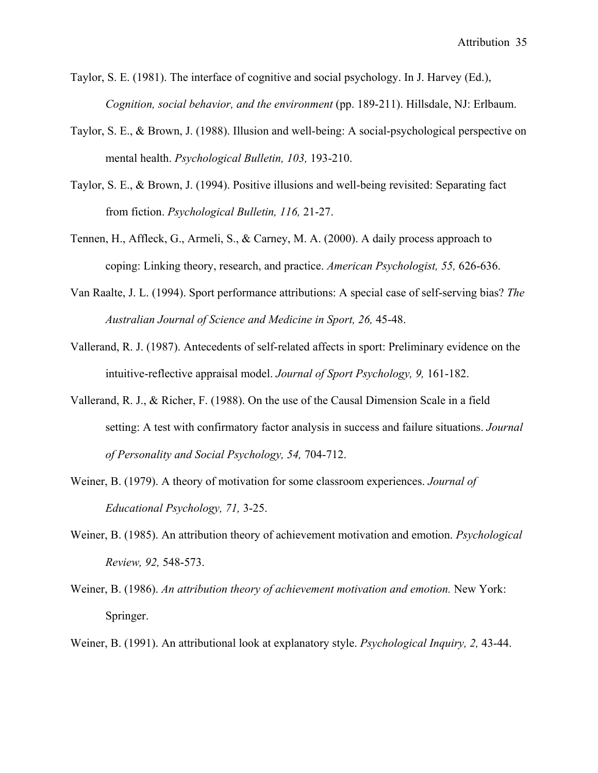Taylor, S. E. (1981). The interface of cognitive and social psychology. In J. Harvey (Ed.), *Cognition, social behavior, and the environment* (pp. 189-211). Hillsdale, NJ: Erlbaum.

- Taylor, S. E., & Brown, J. (1988). Illusion and well-being: A social-psychological perspective on mental health. *Psychological Bulletin, 103,* 193-210.
- Taylor, S. E., & Brown, J. (1994). Positive illusions and well-being revisited: Separating fact from fiction. *Psychological Bulletin, 116,* 21-27.
- Tennen, H., Affleck, G., Armeli, S., & Carney, M. A. (2000). A daily process approach to coping: Linking theory, research, and practice. *American Psychologist, 55,* 626-636.
- Van Raalte, J. L. (1994). Sport performance attributions: A special case of self-serving bias? *The Australian Journal of Science and Medicine in Sport, 26,* 45-48.
- Vallerand, R. J. (1987). Antecedents of self-related affects in sport: Preliminary evidence on the intuitive-reflective appraisal model. *Journal of Sport Psychology, 9,* 161-182.
- Vallerand, R. J., & Richer, F. (1988). On the use of the Causal Dimension Scale in a field setting: A test with confirmatory factor analysis in success and failure situations. *Journal of Personality and Social Psychology, 54,* 704-712.
- Weiner, B. (1979). A theory of motivation for some classroom experiences. *Journal of Educational Psychology, 71,* 3-25.
- Weiner, B. (1985). An attribution theory of achievement motivation and emotion. *Psychological Review, 92,* 548-573.
- Weiner, B. (1986). *An attribution theory of achievement motivation and emotion.* New York: Springer.
- Weiner, B. (1991). An attributional look at explanatory style. *Psychological Inquiry, 2,* 43-44.